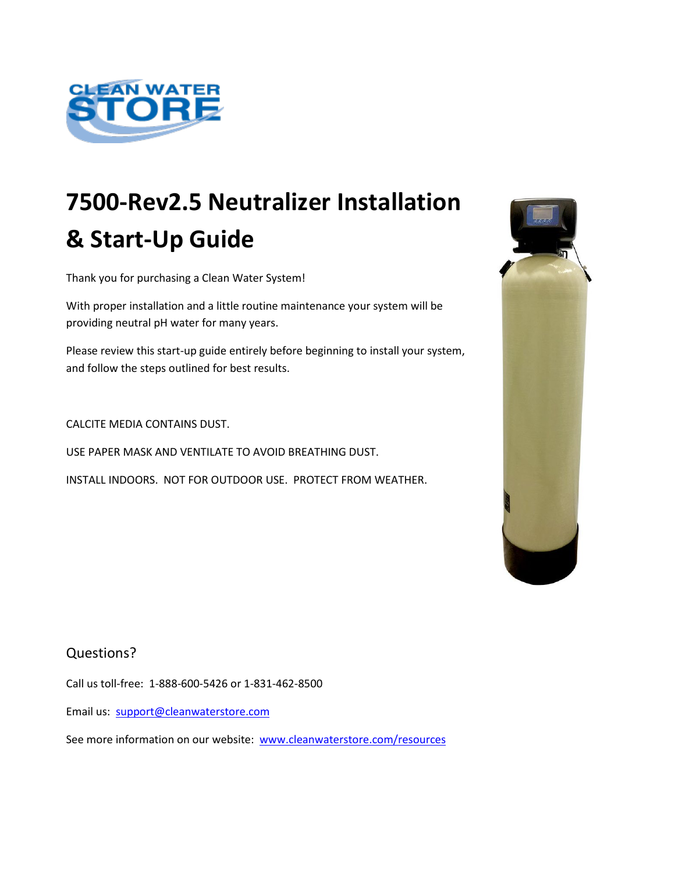

Thank you for purchasing a Clean Water System!

With proper installation and a little routine maintenance your system will be providing neutral pH water for many years.

Please review this start-up guide entirely before beginning to install your system, and follow the steps outlined for best results.

CALCITE MEDIA CONTAINS DUST.

USE PAPER MASK AND VENTILATE TO AVOID BREATHING DUST.

INSTALL INDOORS. NOT FOR OUTDOOR USE. PROTECT FROM WEATHER.

#### Questions?

Call us toll-free: 1-888-600-5426 or 1-831-462-8500

Email us: [support@cleanwaterstore.com](mailto:support@cleanwaterstore.com)

See more information on our website: [www.cleanwaterstore.com/resources](http://www.cleanwaterstore.com/resources)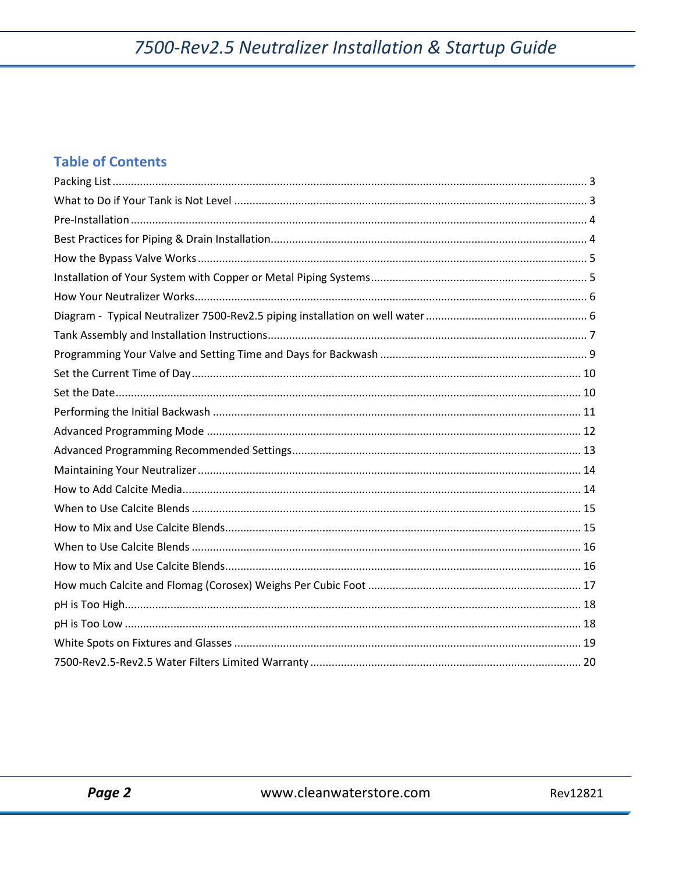### **Table of Contents**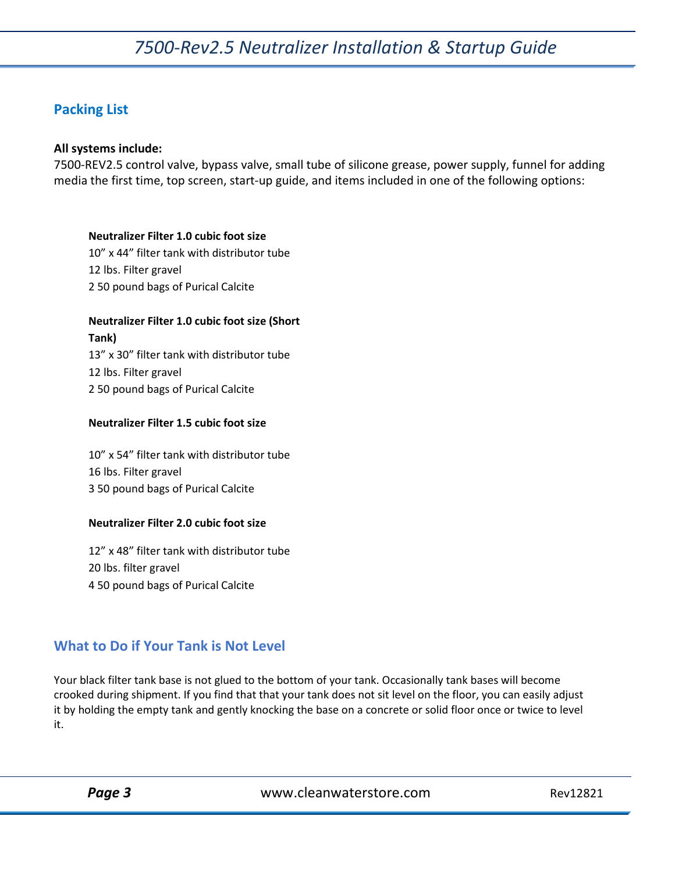#### <span id="page-2-0"></span>**Packing List**

#### **All systems include:**

7500-REV2.5 control valve, bypass valve, small tube of silicone grease, power supply, funnel for adding media the first time, top screen, start-up guide, and items included in one of the following options:

#### **Neutralizer Filter 1.0 cubic foot size**

10" x 44" filter tank with distributor tube 12 lbs. Filter gravel 2 50 pound bags of Purical Calcite

#### **Neutralizer Filter 1.0 cubic foot size (Short**

**Tank)** 13" x 30" filter tank with distributor tube 12 lbs. Filter gravel 2 50 pound bags of Purical Calcite

#### **Neutralizer Filter 1.5 cubic foot size**

10" x 54" filter tank with distributor tube 16 lbs. Filter gravel 3 50 pound bags of Purical Calcite

#### **Neutralizer Filter 2.0 cubic foot size**

12" x 48" filter tank with distributor tube 20 lbs. filter gravel 4 50 pound bags of Purical Calcite

#### <span id="page-2-1"></span>**What to Do if Your Tank is Not Level**

Your black filter tank base is not glued to the bottom of your tank. Occasionally tank bases will become crooked during shipment. If you find that that your tank does not sit level on the floor, you can easily adjust it by holding the empty tank and gently knocking the base on a concrete or solid floor once or twice to level it.

Page 3 **Dage 3** Www.cleanwaterstore.com Rev12821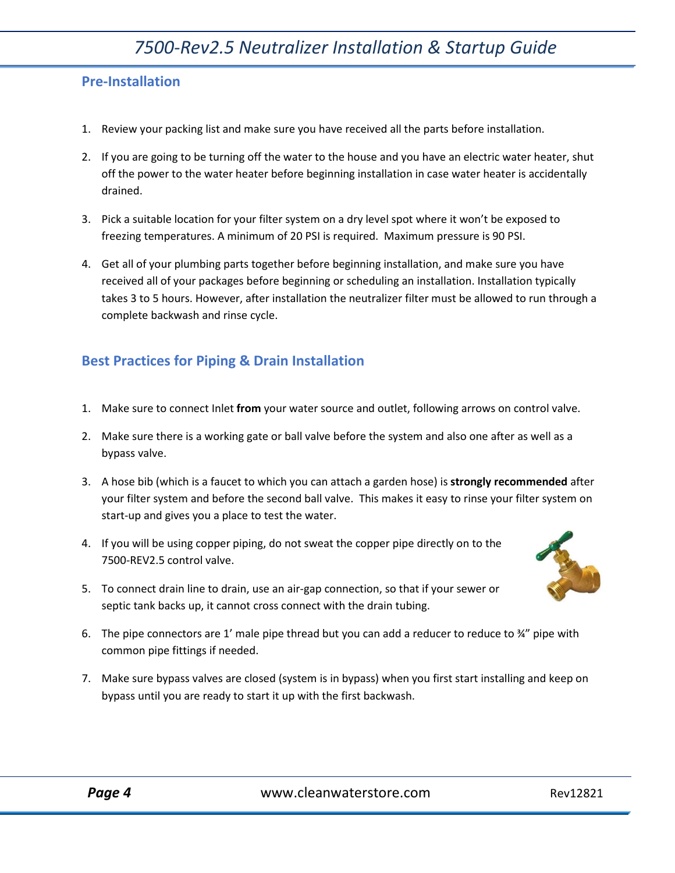#### <span id="page-3-0"></span>**Pre-Installation**

- 1. Review your packing list and make sure you have received all the parts before installation.
- 2. If you are going to be turning off the water to the house and you have an electric water heater, shut off the power to the water heater before beginning installation in case water heater is accidentally drained.
- 3. Pick a suitable location for your filter system on a dry level spot where it won't be exposed to freezing temperatures. A minimum of 20 PSI is required. Maximum pressure is 90 PSI.
- 4. Get all of your plumbing parts together before beginning installation, and make sure you have received all of your packages before beginning or scheduling an installation. Installation typically takes 3 to 5 hours. However, after installation the neutralizer filter must be allowed to run through a complete backwash and rinse cycle.

#### <span id="page-3-1"></span>**Best Practices for Piping & Drain Installation**

- 1. Make sure to connect Inlet **from** your water source and outlet, following arrows on control valve.
- 2. Make sure there is a working gate or ball valve before the system and also one after as well as a bypass valve.
- 3. A hose bib (which is a faucet to which you can attach a garden hose) is **strongly recommended** after your filter system and before the second ball valve. This makes it easy to rinse your filter system on start-up and gives you a place to test the water.
- 4. If you will be using copper piping, do not sweat the copper pipe directly on to the 7500-REV2.5 control valve.
- 5. To connect drain line to drain, use an air-gap connection, so that if your sewer or septic tank backs up, it cannot cross connect with the drain tubing.
- 6. The pipe connectors are 1' male pipe thread but you can add a reducer to reduce to  $\frac{3}{4}$ " pipe with common pipe fittings if needed.
- 7. Make sure bypass valves are closed (system is in bypass) when you first start installing and keep on bypass until you are ready to start it up with the first backwash.

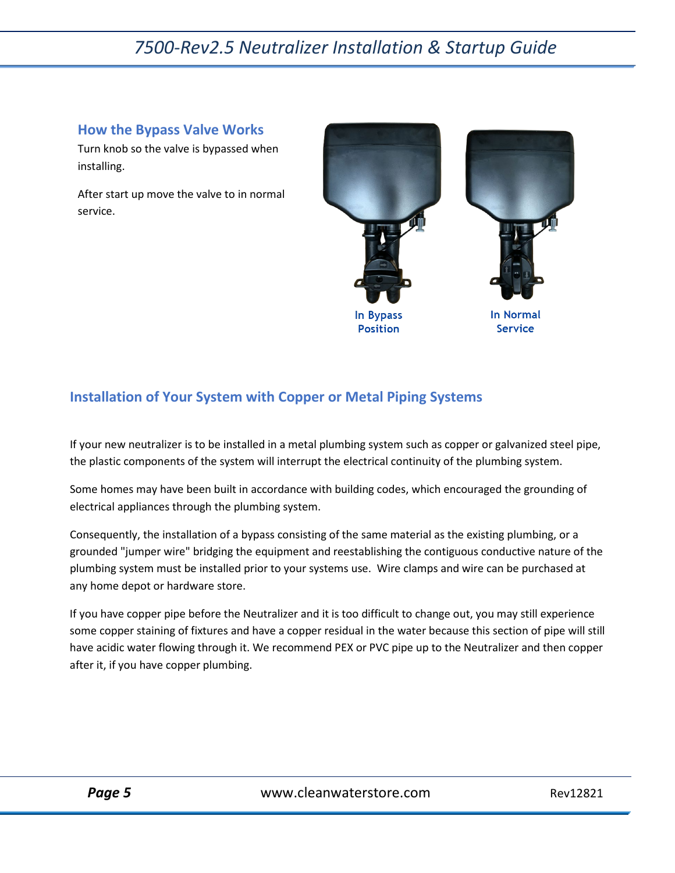#### <span id="page-4-0"></span>**How the Bypass Valve Works**

Turn knob so the valve is bypassed when installing.

After start up move the valve to in normal service.



### <span id="page-4-1"></span>**Installation of Your System with Copper or Metal Piping Systems**

If your new neutralizer is to be installed in a metal plumbing system such as copper or galvanized steel pipe, the plastic components of the system will interrupt the electrical continuity of the plumbing system.

Some homes may have been built in accordance with building codes, which encouraged the grounding of electrical appliances through the plumbing system.

Consequently, the installation of a bypass consisting of the same material as the existing plumbing, or a grounded "jumper wire" bridging the equipment and reestablishing the contiguous conductive nature of the plumbing system must be installed prior to your systems use. Wire clamps and wire can be purchased at any home depot or hardware store.

If you have copper pipe before the Neutralizer and it is too difficult to change out, you may still experience some copper staining of fixtures and have a copper residual in the water because this section of pipe will still have acidic water flowing through it. We recommend PEX or PVC pipe up to the Neutralizer and then copper after it, if you have copper plumbing.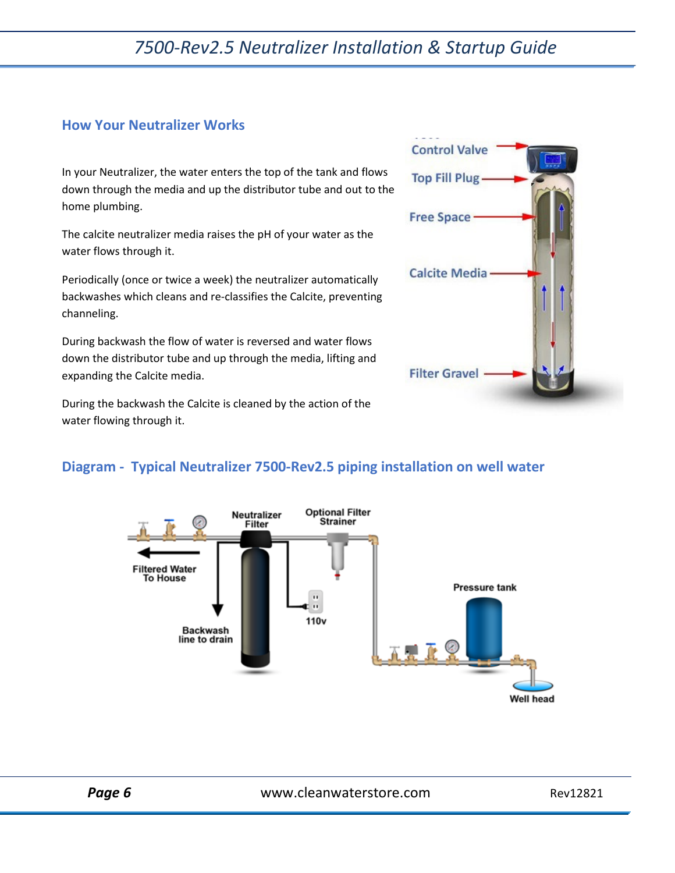#### <span id="page-5-0"></span>**How Your Neutralizer Works**

In your Neutralizer, the water enters the top of the tank and flows down through the media and up the distributor tube and out to the home plumbing.

The calcite neutralizer media raises the pH of your water as the water flows through it.

Periodically (once or twice a week) the neutralizer automatically backwashes which cleans and re-classifies the Calcite, preventing channeling.

During backwash the flow of water is reversed and water flows down the distributor tube and up through the media, lifting and expanding the Calcite media.

During the backwash the Calcite is cleaned by the action of the water flowing through it.



### <span id="page-5-1"></span>**Diagram - Typical Neutralizer 7500-Rev2.5 piping installation on well water**



Page 6 **Page 6** Www.cleanwaterstore.com Rev12821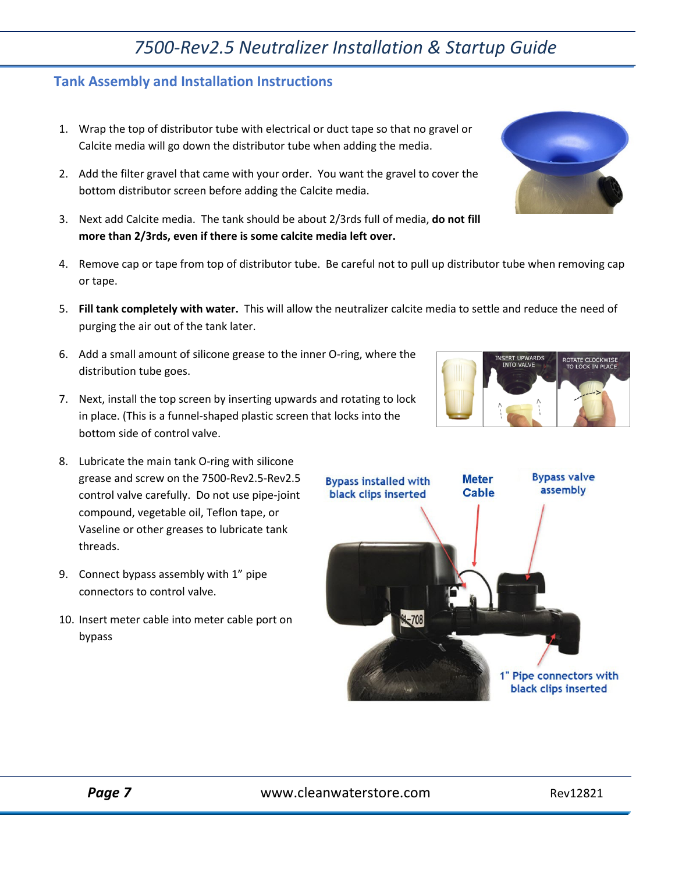#### <span id="page-6-0"></span>**Tank Assembly and Installation Instructions**

- 1. Wrap the top of distributor tube with electrical or duct tape so that no gravel or Calcite media will go down the distributor tube when adding the media.
- 2. Add the filter gravel that came with your order. You want the gravel to cover the bottom distributor screen before adding the Calcite media.
- 3. Next add Calcite media. The tank should be about 2/3rds full of media, **do not fill more than 2/3rds, even if there is some calcite media left over.**
- 4. Remove cap or tape from top of distributor tube. Be careful not to pull up distributor tube when removing cap or tape.
- 5. **Fill tank completely with water.** This will allow the neutralizer calcite media to settle and reduce the need of purging the air out of the tank later.
- 6. Add a small amount of silicone grease to the inner O-ring, where the distribution tube goes.
- 7. Next, install the top screen by inserting upwards and rotating to lock in place. (This is a funnel-shaped plastic screen that locks into the bottom side of control valve.
- 8. Lubricate the main tank O-ring with silicone grease and screw on the 7500-Rev2.5-Rev2.5 control valve carefully. Do not use pipe-joint compound, vegetable oil, Teflon tape, or Vaseline or other greases to lubricate tank threads.
- 9. Connect bypass assembly with 1" pipe connectors to control valve.
- 10. Insert meter cable into meter cable port on bypass





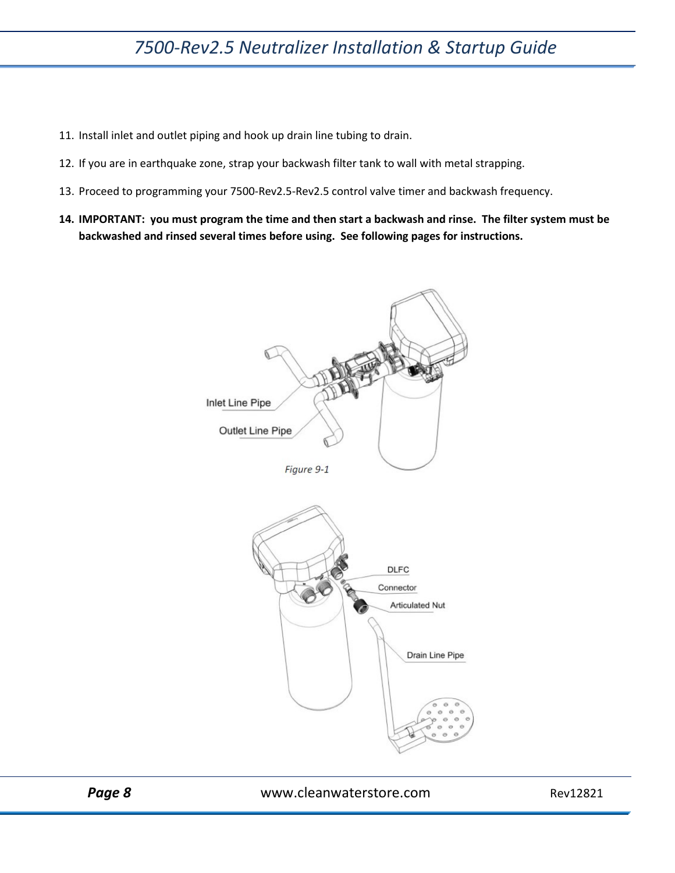- 11. Install inlet and outlet piping and hook up drain line tubing to drain.
- 12. If you are in earthquake zone, strap your backwash filter tank to wall with metal strapping.
- 13. Proceed to programming your 7500-Rev2.5-Rev2.5 control valve timer and backwash frequency.
- **14. IMPORTANT: you must program the time and then start a backwash and rinse. The filter system must be backwashed and rinsed several times before using. See following pages for instructions.**

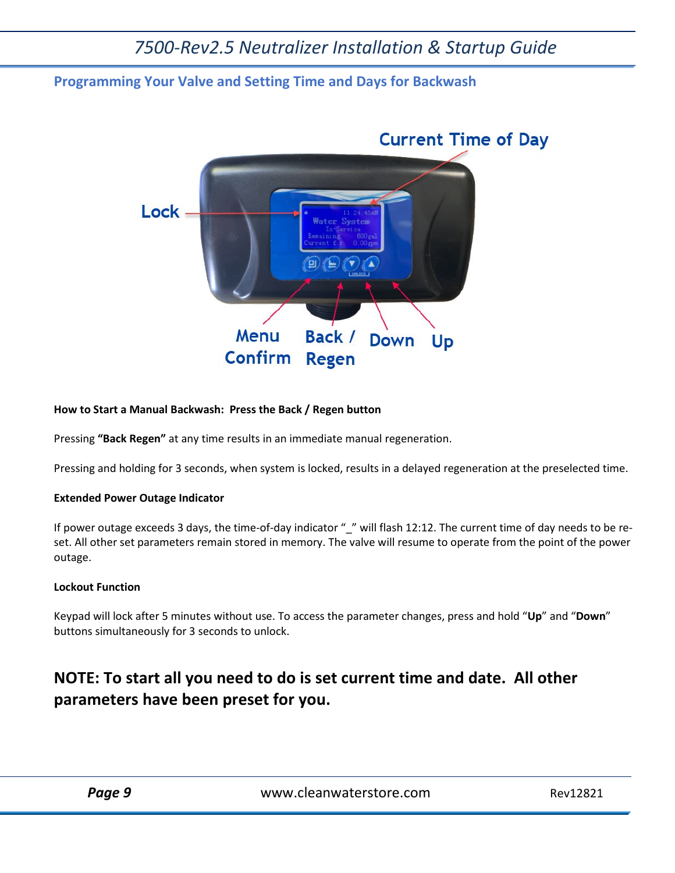#### <span id="page-8-0"></span>**Programming Your Valve and Setting Time and Days for Backwash**



#### **How to Start a Manual Backwash: Press the Back / Regen button**

Pressing **"Back Regen"** at any time results in an immediate manual regeneration.

Pressing and holding for 3 seconds, when system is locked, results in a delayed regeneration at the preselected time.

#### **Extended Power Outage Indicator**

If power outage exceeds 3 days, the time-of-day indicator "\_" will flash 12:12. The current time of day needs to be reset. All other set parameters remain stored in memory. The valve will resume to operate from the point of the power outage.

#### **Lockout Function**

Keypad will lock after 5 minutes without use. To access the parameter changes, press and hold "**Up**" and "**Down**" buttons simultaneously for 3 seconds to unlock.

### **NOTE: To start all you need to do is set current time and date. All other parameters have been preset for you.**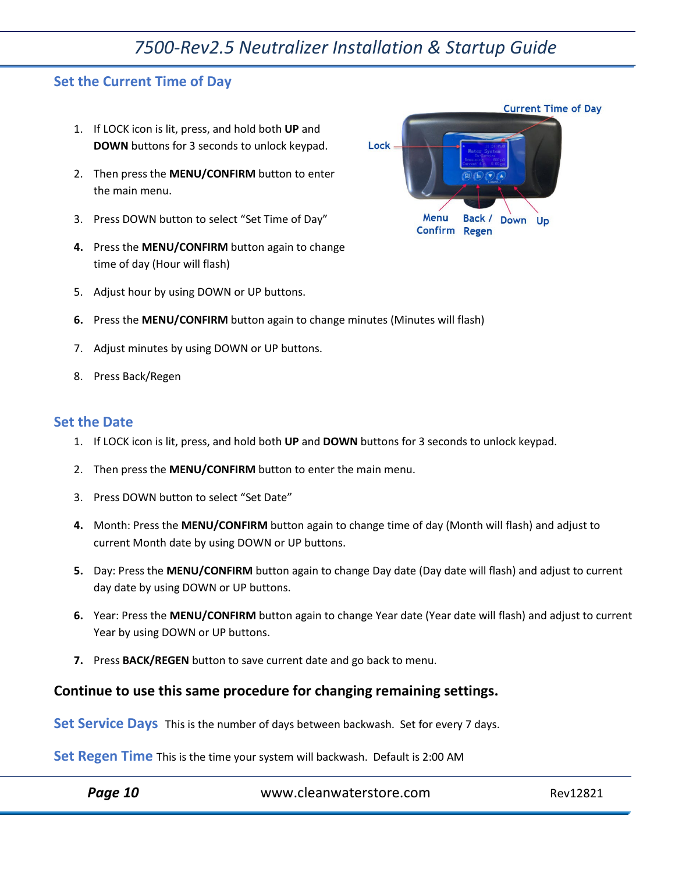#### <span id="page-9-0"></span>**Set the Current Time of Day**

- 1. If LOCK icon is lit, press, and hold both **UP** and **DOWN** buttons for 3 seconds to unlock keypad.
- 2. Then press the **MENU/CONFIRM** button to enter the main menu.
- 3. Press DOWN button to select "Set Time of Day"
- **4.** Press the **MENU/CONFIRM** button again to change time of day (Hour will flash)



- **6.** Press the **MENU/CONFIRM** button again to change minutes (Minutes will flash)
- 7. Adjust minutes by using DOWN or UP buttons.
- 8. Press Back/Regen

#### <span id="page-9-1"></span>**Set the Date**

- 1. If LOCK icon is lit, press, and hold both **UP** and **DOWN** buttons for 3 seconds to unlock keypad.
- 2. Then press the **MENU/CONFIRM** button to enter the main menu.
- 3. Press DOWN button to select "Set Date"
- **4.** Month: Press the **MENU/CONFIRM** button again to change time of day (Month will flash) and adjust to current Month date by using DOWN or UP buttons.
- **5.** Day: Press the **MENU/CONFIRM** button again to change Day date (Day date will flash) and adjust to current day date by using DOWN or UP buttons.
- **6.** Year: Press the **MENU/CONFIRM** button again to change Year date (Year date will flash) and adjust to current Year by using DOWN or UP buttons.
- **7.** Press **BACK/REGEN** button to save current date and go back to menu.

#### **Continue to use this same procedure for changing remaining settings.**

Set Service Days This is the number of days between backwash. Set for every 7 days.

**Set Regen Time** This is the time your system will backwash. Default is 2:00 AM

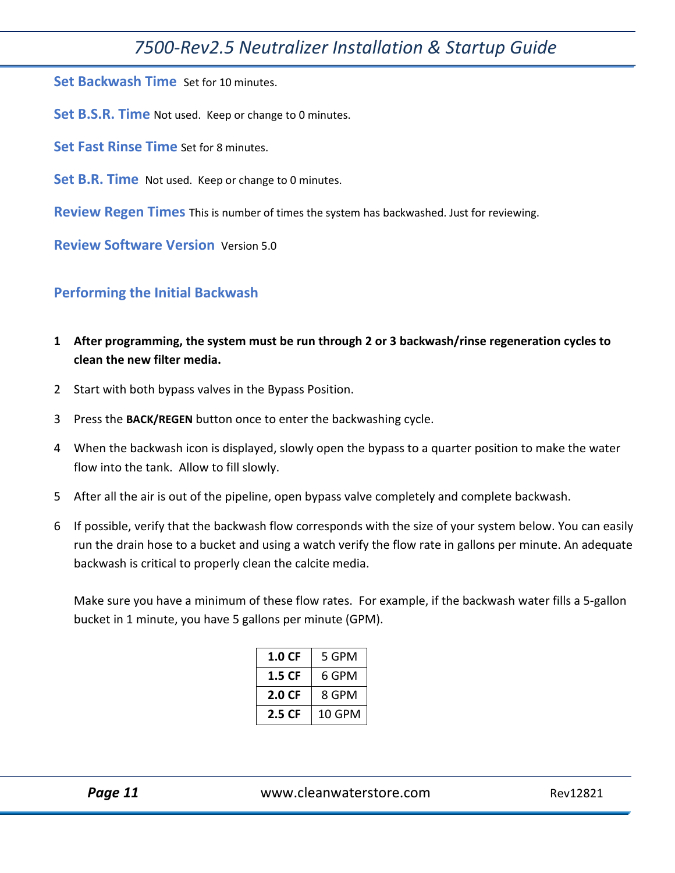**Set Backwash Time** Set for 10 minutes.

**Set B.S.R. Time** Not used. Keep or change to 0 minutes.

**Set Fast Rinse Time** Set for 8 minutes.

**Set B.R. Time** Not used. Keep or change to 0 minutes.

**Review Regen Times** This is number of times the system has backwashed. Just for reviewing.

**Review Software Version** Version 5.0

#### <span id="page-10-0"></span>**Performing the Initial Backwash**

- **1 After programming, the system must be run through 2 or 3 backwash/rinse regeneration cycles to clean the new filter media.**
- 2 Start with both bypass valves in the Bypass Position.
- 3 Press the **BACK/REGEN** button once to enter the backwashing cycle.
- 4 When the backwash icon is displayed, slowly open the bypass to a quarter position to make the water flow into the tank. Allow to fill slowly.
- 5 After all the air is out of the pipeline, open bypass valve completely and complete backwash.
- 6 If possible, verify that the backwash flow corresponds with the size of your system below. You can easily run the drain hose to a bucket and using a watch verify the flow rate in gallons per minute. An adequate backwash is critical to properly clean the calcite media.

Make sure you have a minimum of these flow rates. For example, if the backwash water fills a 5-gallon bucket in 1 minute, you have 5 gallons per minute (GPM).

| 1.0 CF | 5 GPM  |
|--------|--------|
| 1.5 CF | 6 GPM  |
| 2.0 CF | 8 GPM  |
| 2.5 CF | 10 GPM |

Page 11 Www.cleanwaterstore.com Rev12821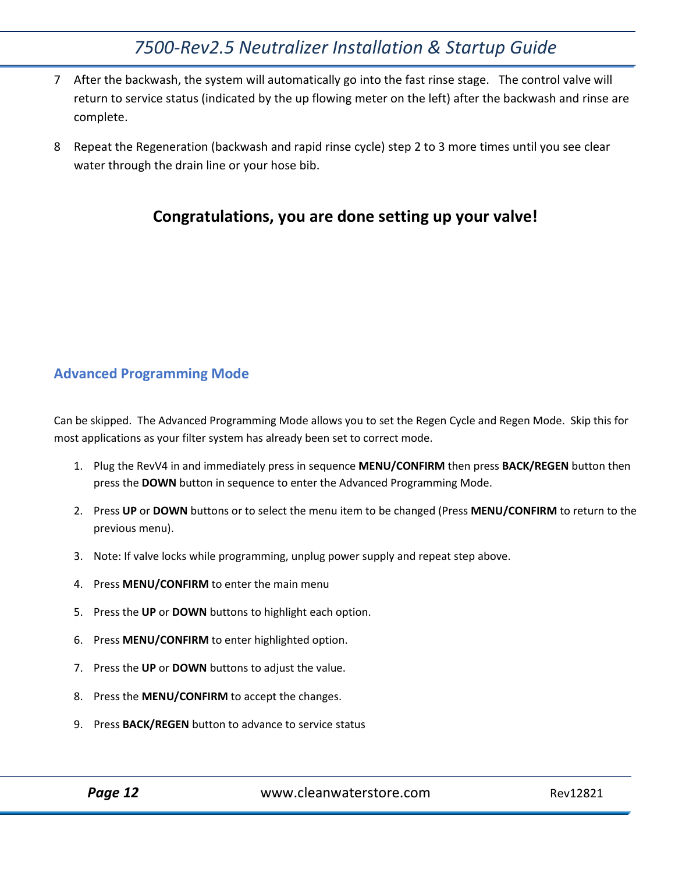- 7 After the backwash, the system will automatically go into the fast rinse stage. The control valve will return to service status (indicated by the up flowing meter on the left) after the backwash and rinse are complete.
- 8 Repeat the Regeneration (backwash and rapid rinse cycle) step 2 to 3 more times until you see clear water through the drain line or your hose bib.

### **Congratulations, you are done setting up your valve!**

#### <span id="page-11-0"></span>**Advanced Programming Mode**

Can be skipped. The Advanced Programming Mode allows you to set the Regen Cycle and Regen Mode. Skip this for most applications as your filter system has already been set to correct mode.

- 1. Plug the RevV4 in and immediately press in sequence **MENU/CONFIRM** then press **BACK/REGEN** button then press the **DOWN** button in sequence to enter the Advanced Programming Mode.
- 2. Press **UP** or **DOWN** buttons or to select the menu item to be changed (Press **MENU/CONFIRM** to return to the previous menu).
- 3. Note: If valve locks while programming, unplug power supply and repeat step above.
- 4. Press **MENU/CONFIRM** to enter the main menu
- 5. Press the **UP** or **DOWN** buttons to highlight each option.
- 6. Press **MENU/CONFIRM** to enter highlighted option.
- 7. Press the **UP** or **DOWN** buttons to adjust the value.
- 8. Press the **MENU/CONFIRM** to accept the changes.
- 9. Press **BACK/REGEN** button to advance to service status

Page 12 **Dage 12** Www.cleanwaterstore.com Rev12821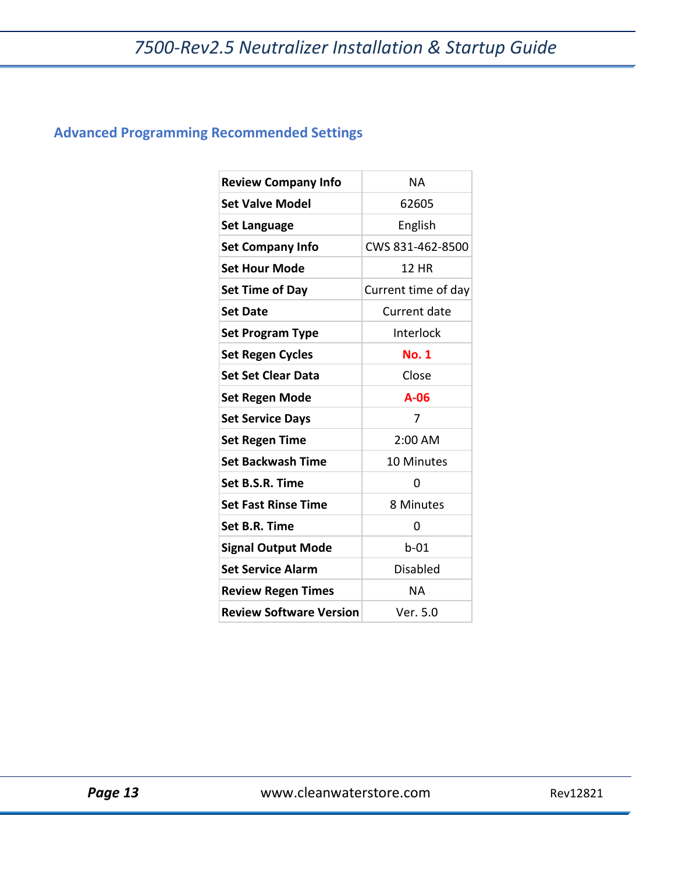### <span id="page-12-0"></span>**Advanced Programming Recommended Settings**

| <b>Review Company Info</b>     | <b>NA</b>           |
|--------------------------------|---------------------|
| <b>Set Valve Model</b>         | 62605               |
| <b>Set Language</b>            | English             |
| <b>Set Company Info</b>        | CWS 831-462-8500    |
| <b>Set Hour Mode</b>           | 12 HR               |
| <b>Set Time of Day</b>         | Current time of day |
| <b>Set Date</b>                | Current date        |
| <b>Set Program Type</b>        | Interlock           |
| <b>Set Regen Cycles</b>        | <b>No. 1</b>        |
| <b>Set Set Clear Data</b>      | Close               |
| <b>Set Regen Mode</b>          | $A-06$              |
| <b>Set Service Days</b>        | 7                   |
| <b>Set Regen Time</b>          | $2:00$ AM           |
| <b>Set Backwash Time</b>       | 10 Minutes          |
| Set B.S.R. Time                | 0                   |
| <b>Set Fast Rinse Time</b>     | 8 Minutes           |
| Set B.R. Time                  | 0                   |
| <b>Signal Output Mode</b>      | $b-01$              |
| <b>Set Service Alarm</b>       | <b>Disabled</b>     |
| <b>Review Regen Times</b>      | NA                  |
| <b>Review Software Version</b> | Ver. 5.0            |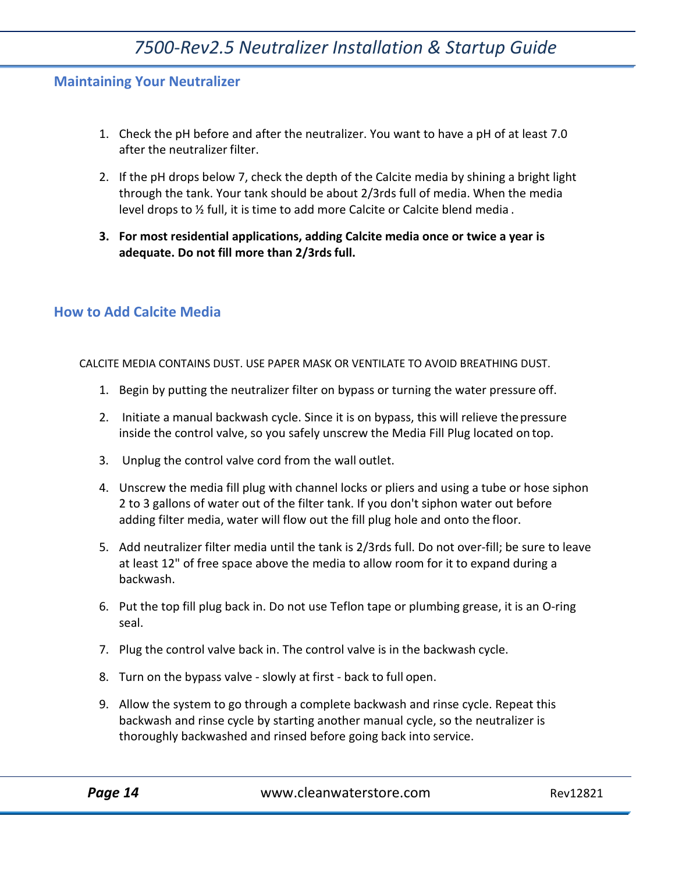#### <span id="page-13-0"></span>**Maintaining Your Neutralizer**

- 1. Check the pH before and after the neutralizer. You want to have a pH of at least 7.0 after the neutralizer filter.
- 2. If the pH drops below 7, check the depth of the Calcite media by shining a bright light through the tank. Your tank should be about 2/3rds full of media. When the media level drops to  $\frac{1}{2}$  full, it is time to add more Calcite or Calcite blend media.
- **3. For most residential applications, adding Calcite media once or twice a year is adequate. Do not fill more than 2/3rdsfull.**

#### <span id="page-13-1"></span>**How to Add Calcite Media**

CALCITE MEDIA CONTAINS DUST. USE PAPER MASK OR VENTILATE TO AVOID BREATHING DUST.

- 1. Begin by putting the neutralizer filter on bypass or turning the water pressure off.
- 2. Initiate a manual backwash cycle. Since it is on bypass, this will relieve thepressure inside the control valve, so you safely unscrew the Media Fill Plug located on top.
- 3. Unplug the control valve cord from the wall outlet.
- 4. Unscrew the media fill plug with channel locks or pliers and using a tube or hose siphon 2 to 3 gallons of water out of the filter tank. If you don't siphon water out before adding filter media, water will flow out the fill plug hole and onto the floor.
- 5. Add neutralizer filter media until the tank is 2/3rds full. Do not over-fill; be sure to leave at least 12" of free space above the media to allow room for it to expand during a backwash.
- 6. Put the top fill plug back in. Do not use Teflon tape or plumbing grease, it is an O‐ring seal.
- 7. Plug the control valve back in. The control valve is in the backwash cycle.
- 8. Turn on the bypass valve ‐ slowly at first ‐ back to full open.
- 9. Allow the system to go through a complete backwash and rinse cycle. Repeat this backwash and rinse cycle by starting another manual cycle, so the neutralizer is thoroughly backwashed and rinsed before going back into service.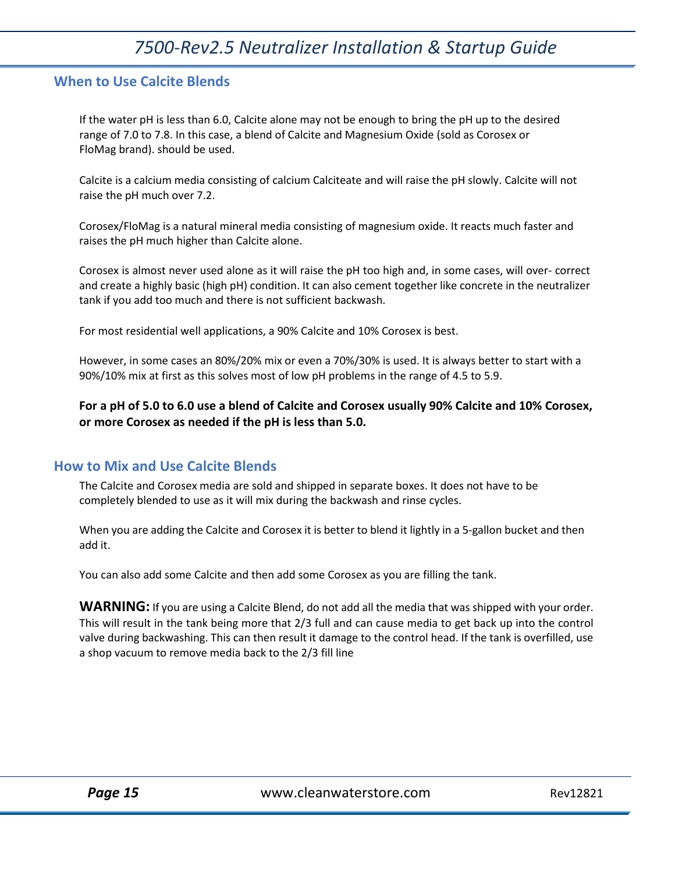#### <span id="page-14-0"></span>**When to Use Calcite Blends**

If the water pH is less than 6.0, Calcite alone may not be enough to bring the pH up to the desired range of 7.0 to 7.8. In this case, a blend of Calcite and Magnesium Oxide (sold as Corosex or FloMag brand). should be used.

Calcite is a calcium media consisting of calcium Calciteate and will raise the pH slowly. Calcite will not raise the pH much over 7.2.

Corosex/FloMag is a natural mineral media consisting of magnesium oxide. It reacts much faster and raises the pH much higher than Calcite alone.

Corosex is almost never used alone as it will raise the pH too high and, in some cases, will over‐ correct and create a highly basic (high pH) condition. It can also cement together like concrete in the neutralizer tank if you add too much and there is not sufficient backwash.

For most residential well applications, a 90% Calcite and 10% Corosex is best.

However, in some cases an 80%/20% mix or even a 70%/30% is used. It is always better to start with a 90%/10% mix at first as this solves most of low pH problems in the range of 4.5 to 5.9.

**For a pH of 5.0 to 6.0 use a blend of Calcite and Corosex usually 90% Calcite and 10% Corosex, or more Corosex as needed if the pH is less than 5.0.**

#### <span id="page-14-1"></span>**How to Mix and Use Calcite Blends**

The Calcite and Corosex media are sold and shipped in separate boxes. It does not have to be completely blended to use as it will mix during the backwash and rinse cycles.

When you are adding the Calcite and Corosex it is better to blend it lightly in a 5-gallon bucket and then add it.

You can also add some Calcite and then add some Corosex as you are filling the tank.

**WARNING:** If you are using a Calcite Blend, do not add all the media that was shipped with your order. This will result in the tank being more that 2/3 full and can cause media to get back up into the control valve during backwashing. This can then result it damage to the control head. If the tank is overfilled, use a shop vacuum to remove media back to the 2/3 fill line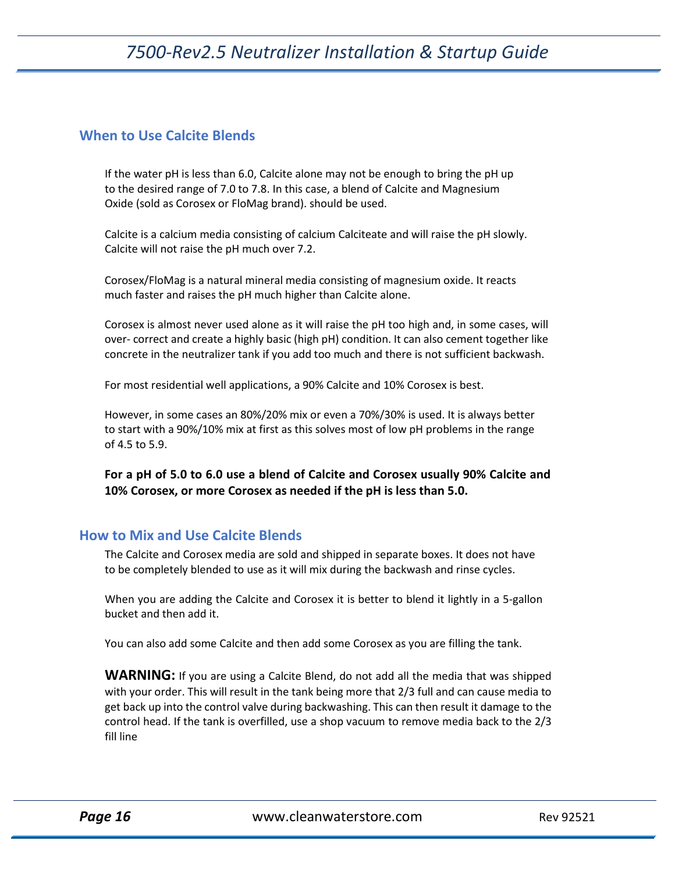#### <span id="page-15-0"></span>**When to Use Calcite Blends**

If the water pH is less than 6.0, Calcite alone may not be enough to bring the pH up to the desired range of 7.0 to 7.8. In this case, a blend of Calcite and Magnesium Oxide (sold as Corosex or FloMag brand). should be used.

Calcite is a calcium media consisting of calcium Calciteate and will raise the pH slowly. Calcite will not raise the pH much over 7.2.

Corosex/FloMag is a natural mineral media consisting of magnesium oxide. It reacts much faster and raises the pH much higher than Calcite alone.

Corosex is almost never used alone as it will raise the pH too high and, in some cases, will over- correct and create a highly basic (high pH) condition. It can also cement together like concrete in the neutralizer tank if you add too much and there is not sufficient backwash.

For most residential well applications, a 90% Calcite and 10% Corosex is best.

However, in some cases an 80%/20% mix or even a 70%/30% is used. It is always better to start with a 90%/10% mix at first as this solves most of low pH problems in the range of 4.5 to 5.9.

**For a pH of 5.0 to 6.0 use a blend of Calcite and Corosex usually 90% Calcite and 10% Corosex, or more Corosex as needed if the pH is less than 5.0.**

#### <span id="page-15-1"></span>**How to Mix and Use Calcite Blends**

The Calcite and Corosex media are sold and shipped in separate boxes. It does not have to be completely blended to use as it will mix during the backwash and rinse cycles.

When you are adding the Calcite and Corosex it is better to blend it lightly in a 5-gallon bucket and then add it.

You can also add some Calcite and then add some Corosex as you are filling the tank.

**WARNING:** If you are using a Calcite Blend, do not add all the media that was shipped with your order. This will result in the tank being more that 2/3 full and can cause media to get back up into the control valve during backwashing. This can then result it damage to the control head. If the tank is overfilled, use a shop vacuum to remove media back to the 2/3 fill line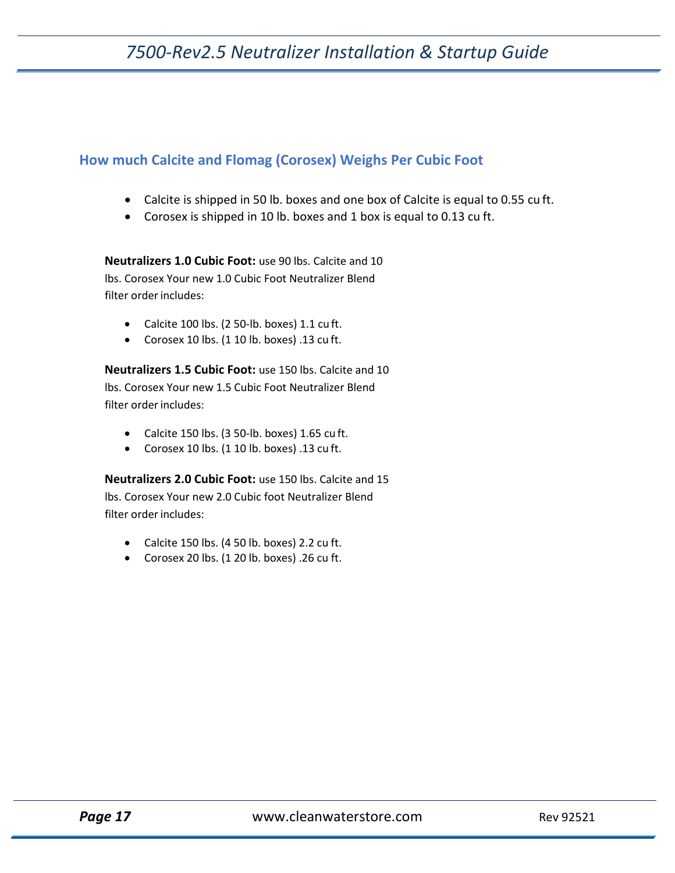#### <span id="page-16-0"></span>**How much Calcite and Flomag (Corosex) Weighs Per Cubic Foot**

- Calcite is shipped in 50 lb. boxes and one box of Calcite is equal to 0.55 cu ft.
- Corosex is shipped in 10 lb. boxes and 1 box is equal to 0.13 cu ft.

**Neutralizers 1.0 Cubic Foot:** use 90 lbs. Calcite and 10 lbs. Corosex Your new 1.0 Cubic Foot Neutralizer Blend filter order includes:

- Calcite 100 lbs. (2 50‐lb. boxes) 1.1 cu ft.
- Corosex 10 lbs. (1 10 lb. boxes) .13 cu ft.

**Neutralizers 1.5 Cubic Foot:** use 150 lbs. Calcite and 10 lbs. Corosex Your new 1.5 Cubic Foot Neutralizer Blend filter order includes:

- Calcite 150 lbs. (3 50‐lb. boxes) 1.65 cu ft.
- Corosex 10 lbs. (1 10 lb. boxes) .13 cu ft.

**Neutralizers 2.0 Cubic Foot:** use 150 lbs. Calcite and 15 lbs. Corosex Your new 2.0 Cubic foot Neutralizer Blend filter order includes:

- Calcite 150 lbs. (4 50 lb. boxes) 2.2 cu ft.
- Corosex 20 lbs. (1 20 lb. boxes) .26 cu ft.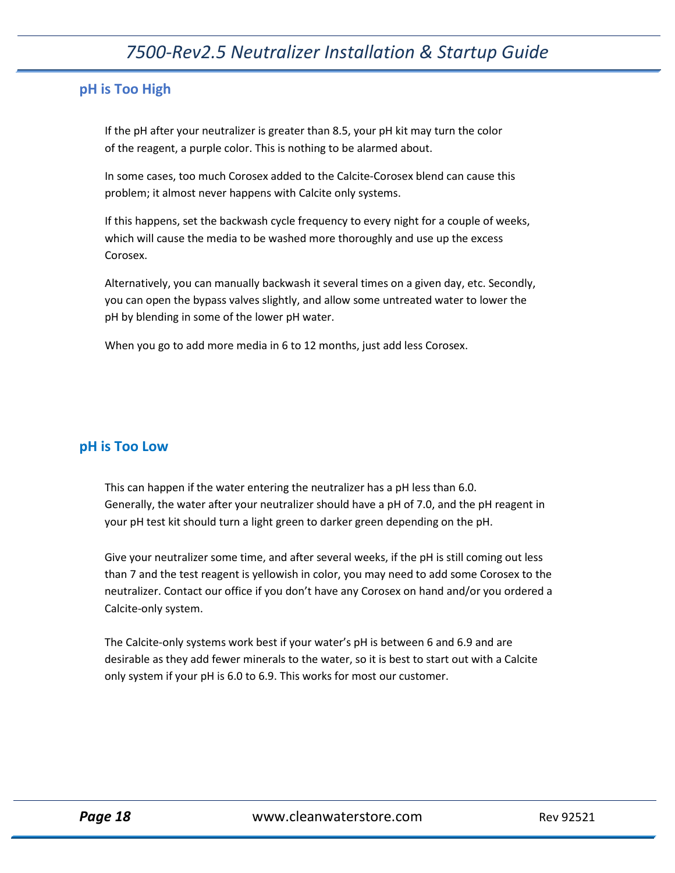#### <span id="page-17-0"></span>**pH is Too High**

If the pH after your neutralizer is greater than 8.5, your pH kit may turn the color of the reagent, a purple color. This is nothing to be alarmed about.

In some cases, too much Corosex added to the Calcite‐Corosex blend can cause this problem; it almost never happens with Calcite only systems.

If this happens, set the backwash cycle frequency to every night for a couple of weeks, which will cause the media to be washed more thoroughly and use up the excess Corosex.

Alternatively, you can manually backwash it several times on a given day, etc. Secondly, you can open the bypass valves slightly, and allow some untreated water to lower the pH by blending in some of the lower pH water.

When you go to add more media in 6 to 12 months, just add less Corosex.

#### <span id="page-17-1"></span>**pH is Too Low**

This can happen if the water entering the neutralizer has a pH less than 6.0. Generally, the water after your neutralizer should have a pH of 7.0, and the pH reagent in your pH test kit should turn a light green to darker green depending on the pH.

Give your neutralizer some time, and after several weeks, if the pH is still coming out less than 7 and the test reagent is yellowish in color, you may need to add some Corosex to the neutralizer. Contact our office if you don't have any Corosex on hand and/or you ordered a Calcite‐only system.

The Calcite-only systems work best if your water's pH is between 6 and 6.9 and are desirable as they add fewer minerals to the water, so it is best to start out with a Calcite only system if your pH is 6.0 to 6.9. This works for most our customer.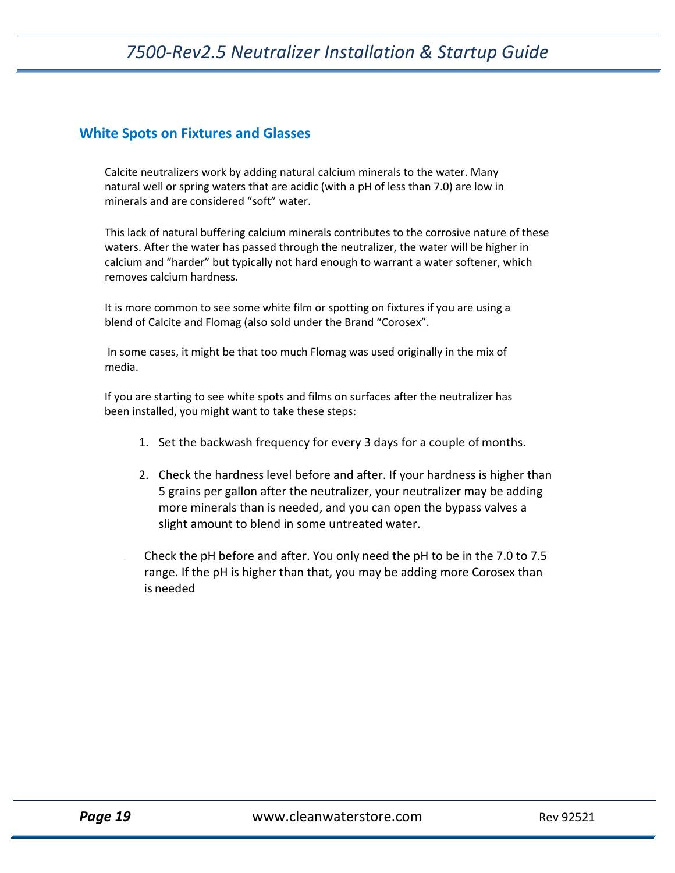#### <span id="page-18-0"></span>**White Spots on Fixtures and Glasses**

Calcite neutralizers work by adding natural calcium minerals to the water. Many natural well or spring waters that are acidic (with a pH of less than 7.0) are low in minerals and are considered "soft" water.

This lack of natural buffering calcium minerals contributes to the corrosive nature of these waters. After the water has passed through the neutralizer, the water will be higher in calcium and "harder" but typically not hard enough to warrant a water softener, which removes calcium hardness.

It is more common to see some white film or spotting on fixtures if you are using a blend of Calcite and Flomag (also sold under the Brand "Corosex".

In some cases, it might be that too much Flomag was used originally in the mix of media.

If you are starting to see white spots and films on surfaces after the neutralizer has been installed, you might want to take these steps:

- 1. Set the backwash frequency for every 3 days for a couple of months.
- 2. Check the hardness level before and after. If your hardness is higher than 5 grains per gallon after the neutralizer, your neutralizer may be adding more minerals than is needed, and you can open the bypass valves a slight amount to blend in some untreated water.
- Check the pH before and after. You only need the pH to be in the 7.0 to 7.5 range. If the pH is higher than that, you may be adding more Corosex than is needed